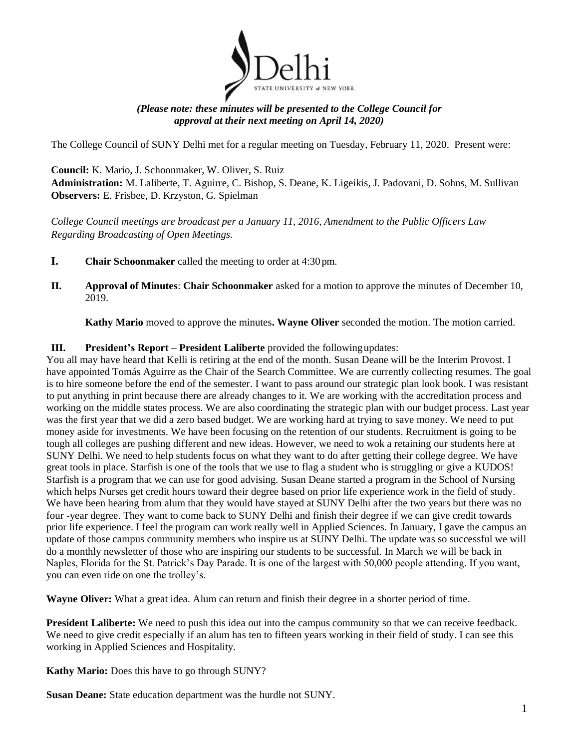

## *(Please note: these minutes will be presented to the College Council for approval at their next meeting on April 14, 2020)*

The College Council of SUNY Delhi met for a regular meeting on Tuesday, February 11, 2020. Present were:

 **Council:** K. Mario, J. Schoonmaker, W. Oliver, S. Ruiz **Administration:** M. Laliberte, T. Aguirre, C. Bishop, S. Deane, K. Ligeikis, J. Padovani, D. Sohns, M. Sullivan **Observers:** E. Frisbee, D. Krzyston, G. Spielman

*College Council meetings are broadcast per a January 11, 2016, Amendment to the Public Officers Law Regarding Broadcasting of Open Meetings.* 

- **I. Chair Schoonmaker** called the meeting to order at 4:30 pm.
- **II. Approval of Minutes**: **Chair Schoonmaker** asked for a motion to approve the minutes of December 10, 2019.

**Kathy Mario** moved to approve the minutes**. Wayne Oliver** seconded the motion. The motion carried.

## **III. President's Report – President Laliberte** provided the followingupdates:

 You all may have heard that Kelli is retiring at the end of the month. Susan Deane will be the Interim Provost. I have appointed Tomás Aguirre as the Chair of the Search Committee. We are currently collecting resumes. The goal to put anything in print because there are already changes to it. We are working with the accreditation process and working on the middle states process. We are also coordinating the strategic plan with our budget process. Last year great tools in place. Starfish is one of the tools that we use to flag a student who is struggling or give a KUDOS! We have been hearing from alum that they would have stayed at SUNY Delhi after the two years but there was no is to hire someone before the end of the semester. I want to pass around our strategic plan look book. I was resistant was the first year that we did a zero based budget. We are working hard at trying to save money. We need to put money aside for investments. We have been focusing on the retention of our students. Recruitment is going to be tough all colleges are pushing different and new ideas. However, we need to wok a retaining our students here at SUNY Delhi. We need to help students focus on what they want to do after getting their college degree. We have Starfish is a program that we can use for good advising. Susan Deane started a program in the School of Nursing which helps Nurses get credit hours toward their degree based on prior life experience work in the field of study. four -year degree. They want to come back to SUNY Delhi and finish their degree if we can give credit towards prior life experience. I feel the program can work really well in Applied Sciences. In January, I gave the campus an update of those campus community members who inspire us at SUNY Delhi. The update was so successful we will do a monthly newsletter of those who are inspiring our students to be successful. In March we will be back in Naples, Florida for the St. Patrick's Day Parade. It is one of the largest with 50,000 people attending. If you want, you can even ride on one the trolley's.

**Wayne Oliver:** What a great idea. Alum can return and finish their degree in a shorter period of time.

**President Laliberte:** We need to push this idea out into the campus community so that we can receive feedback. We need to give credit especially if an alum has ten to fifteen years working in their field of study. I can see this working in Applied Sciences and Hospitality.

**Kathy Mario:** Does this have to go through SUNY?

Susan Deane: State education department was the hurdle not SUNY.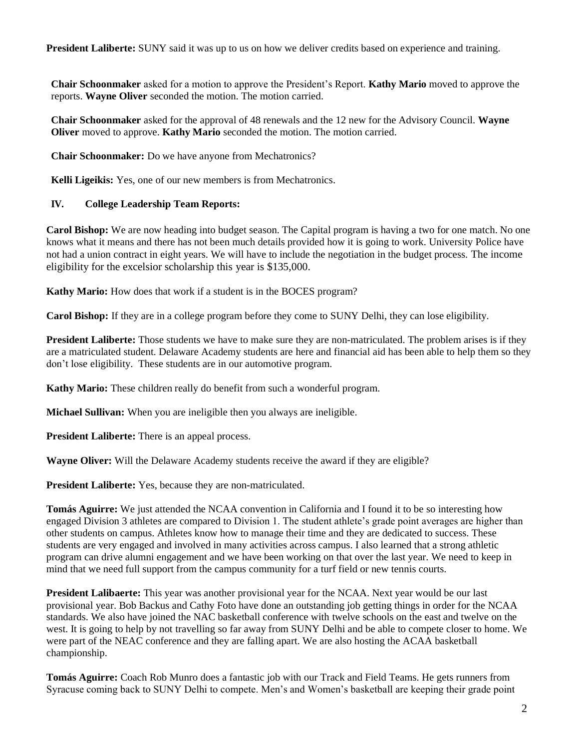**President Laliberte:** SUNY said it was up to us on how we deliver credits based on experience and training.

**Chair Schoonmaker** asked for a motion to approve the President's Report. **Kathy Mario** moved to approve the reports. **Wayne Oliver** seconded the motion. The motion carried.

**Chair Schoonmaker** asked for the approval of 48 renewals and the 12 new for the Advisory Council. **Wayne Oliver** moved to approve. **Kathy Mario** seconded the motion. The motion carried.

**Chair Schoonmaker:** Do we have anyone from Mechatronics?

**Kelli Ligeikis:** Yes, one of our new members is from Mechatronics.

## **IV. College Leadership Team Reports:**

 not had a union contract in eight years. We will have to include the negotiation in the budget process. The income eligibility for the excelsior scholarship this year is \$135,000. **Carol Bishop:** We are now heading into budget season. The Capital program is having a two for one match. No one knows what it means and there has not been much details provided how it is going to work. University Police have

**Kathy Mario:** How does that work if a student is in the BOCES program?

**Carol Bishop:** If they are in a college program before they come to SUNY Delhi, they can lose eligibility.

**President Laliberte:** Those students we have to make sure they are non-matriculated. The problem arises is if they are a matriculated student. Delaware Academy students are here and financial aid has been able to help them so they don't lose eligibility. These students are in our automotive program.

**Kathy Mario:** These children really do benefit from such a wonderful program.

**Michael Sullivan:** When you are ineligible then you always are ineligible.

**President Laliberte:** There is an appeal process.

**Wayne Oliver:** Will the Delaware Academy students receive the award if they are eligible?

**President Laliberte:** Yes, because they are non-matriculated.

**Tomás Aguirre:** We just attended the NCAA convention in California and I found it to be so interesting how engaged Division 3 athletes are compared to Division 1. The student athlete's grade point averages are higher than other students on campus. Athletes know how to manage their time and they are dedicated to success. These students are very engaged and involved in many activities across campus. I also learned that a strong athletic program can drive alumni engagement and we have been working on that over the last year. We need to keep in mind that we need full support from the campus community for a turf field or new tennis courts.

 **President Lalibaerte:** This year was another provisional year for the NCAA. Next year would be our last provisional year. Bob Backus and Cathy Foto have done an outstanding job getting things in order for the NCAA standards. We also have joined the NAC basketball conference with twelve schools on the east and twelve on the west. It is going to help by not travelling so far away from SUNY Delhi and be able to compete closer to home. We were part of the NEAC conference and they are falling apart. We are also hosting the ACAA basketball championship.

**Tomás Aguirre:** Coach Rob Munro does a fantastic job with our Track and Field Teams. He gets runners from Syracuse coming back to SUNY Delhi to compete. Men's and Women's basketball are keeping their grade point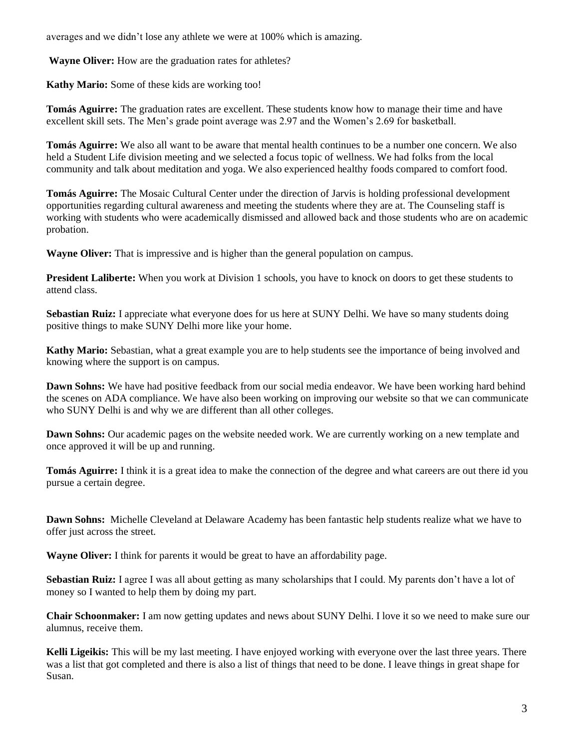averages and we didn't lose any athlete we were at 100% which is amazing.

**Wayne Oliver:** How are the graduation rates for athletes?

**Kathy Mario:** Some of these kids are working too!

**Tomás Aguirre:** The graduation rates are excellent. These students know how to manage their time and have excellent skill sets. The Men's grade point average was 2.97 and the Women's 2.69 for basketball.

**Tomás Aguirre:** We also all want to be aware that mental health continues to be a number one concern. We also held a Student Life division meeting and we selected a focus topic of wellness. We had folks from the local community and talk about meditation and yoga. We also experienced healthy foods compared to comfort food.

**Tomás Aguirre:** The Mosaic Cultural Center under the direction of Jarvis is holding professional development opportunities regarding cultural awareness and meeting the students where they are at. The Counseling staff is working with students who were academically dismissed and allowed back and those students who are on academic probation.

**Wayne Oliver:** That is impressive and is higher than the general population on campus.

**President Laliberte:** When you work at Division 1 schools, you have to knock on doors to get these students to attend class.

**Sebastian Ruiz:** I appreciate what everyone does for us here at SUNY Delhi. We have so many students doing positive things to make SUNY Delhi more like your home.

**Kathy Mario:** Sebastian, what a great example you are to help students see the importance of being involved and knowing where the support is on campus.

Dawn Sohns: We have had positive feedback from our social media endeavor. We have been working hard behind the scenes on ADA compliance. We have also been working on improving our website so that we can communicate who SUNY Delhi is and why we are different than all other colleges.

Dawn Sohns: Our academic pages on the website needed work. We are currently working on a new template and once approved it will be up and running.

**Tomás Aguirre:** I think it is a great idea to make the connection of the degree and what careers are out there id you pursue a certain degree.

Dawn Sohns: Michelle Cleveland at Delaware Academy has been fantastic help students realize what we have to offer just across the street.

**Wayne Oliver:** I think for parents it would be great to have an affordability page.

 **Sebastian Ruiz:** I agree I was all about getting as many scholarships that I could. My parents don't have a lot of money so I wanted to help them by doing my part.

**Chair Schoonmaker:** I am now getting updates and news about SUNY Delhi. I love it so we need to make sure our alumnus, receive them.

 was a list that got completed and there is also a list of things that need to be done. I leave things in great shape for **Kelli Ligeikis:** This will be my last meeting. I have enjoyed working with everyone over the last three years. There Susan.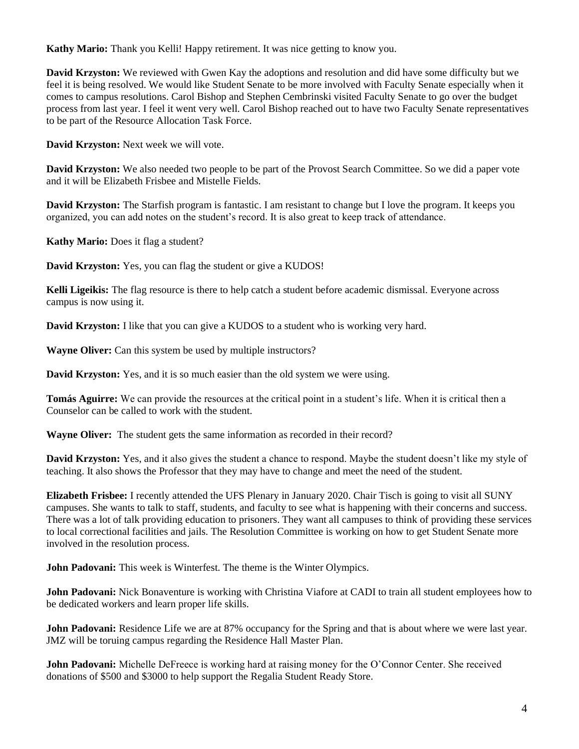**Kathy Mario:** Thank you Kelli! Happy retirement. It was nice getting to know you.

**David Krzyston:** We reviewed with Gwen Kay the adoptions and resolution and did have some difficulty but we feel it is being resolved. We would like Student Senate to be more involved with Faculty Senate especially when it comes to campus resolutions. Carol Bishop and Stephen Cembrinski visited Faculty Senate to go over the budget process from last year. I feel it went very well. Carol Bishop reached out to have two Faculty Senate representatives to be part of the Resource Allocation Task Force.

**David Krzyston:** Next week we will vote.

**David Krzyston:** We also needed two people to be part of the Provost Search Committee. So we did a paper vote and it will be Elizabeth Frisbee and Mistelle Fields.

**David Krzyston:** The Starfish program is fantastic. I am resistant to change but I love the program. It keeps you organized, you can add notes on the student's record. It is also great to keep track of attendance.

**Kathy Mario:** Does it flag a student?

**David Krzyston:** Yes, you can flag the student or give a KUDOS!

 **Kelli Ligeikis:** The flag resource is there to help catch a student before academic dismissal. Everyone across campus is now using it.

**David Krzyston:** I like that you can give a KUDOS to a student who is working very hard.

**Wayne Oliver:** Can this system be used by multiple instructors?

**David Krzyston:** Yes, and it is so much easier than the old system we were using.

**Tomás Aguirre:** We can provide the resources at the critical point in a student's life. When it is critical then a Counselor can be called to work with the student.

**Wayne Oliver:** The student gets the same information as recorded in their record?

**David Krzyston:** Yes, and it also gives the student a chance to respond. Maybe the student doesn't like my style of teaching. It also shows the Professor that they may have to change and meet the need of the student.

 involved in the resolution process. **Elizabeth Frisbee:** I recently attended the UFS Plenary in January 2020. Chair Tisch is going to visit all SUNY campuses. She wants to talk to staff, students, and faculty to see what is happening with their concerns and success. There was a lot of talk providing education to prisoners. They want all campuses to think of providing these services to local correctional facilities and jails. The Resolution Committee is working on how to get Student Senate more

**John Padovani:** This week is Winterfest. The theme is the Winter Olympics.

John Padovani: Nick Bonaventure is working with Christina Viafore at CADI to train all student employees how to be dedicated workers and learn proper life skills.

**John Padovani:** Residence Life we are at 87% occupancy for the Spring and that is about where we were last year. JMZ will be toruing campus regarding the Residence Hall Master Plan.

**John Padovani:** Michelle DeFreece is working hard at raising money for the O'Connor Center. She received donations of \$500 and \$3000 to help support the Regalia Student Ready Store.